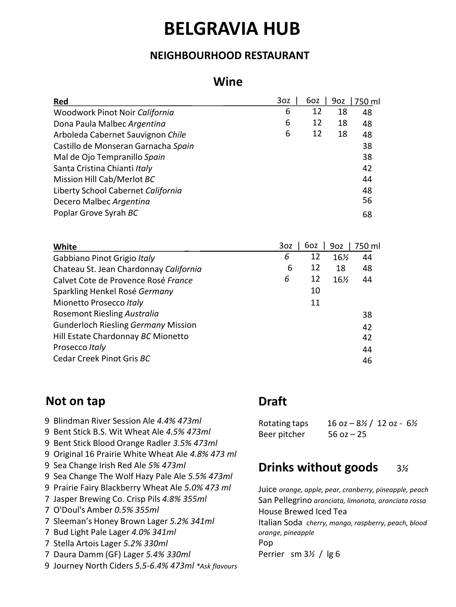# **BELGRAVIA HUB**

## **NEIGHBOURHOOD RESTAURANT**

### **Wine**

| Red                                                                           | 3oz      | 6oz       | 9oz       | 750 ml   |
|-------------------------------------------------------------------------------|----------|-----------|-----------|----------|
| Woodwork Pinot Noir California                                                | 6        | 12        | 18        | 48       |
| Dona Paula Malbec Argentina                                                   | 6        | 12        | 18        | 48       |
| Arboleda Cabernet Sauvignon Chile                                             | 6        | 12        | 18        | 48       |
| Castillo de Monseran Garnacha Spain                                           |          |           |           | 38       |
| Mal de Ojo Tempranillo Spain                                                  |          |           |           | 38       |
| Santa Cristina Chianti Italy                                                  |          |           |           | 42       |
| Mission Hill Cab/Merlot BC                                                    |          |           |           | 44       |
| Liberty School Cabernet California                                            |          |           |           | 48       |
| Decero Malbec Argentina                                                       |          |           |           | 56       |
| Poplar Grove Syrah BC                                                         |          |           |           | 68       |
|                                                                               |          |           |           |          |
|                                                                               |          |           |           |          |
| White                                                                         | 3oz<br>6 | 6oz<br>12 | 9oz       | 750 ml   |
| Gabbiano Pinot Grigio Italy                                                   | 6        | 12        | 16%<br>18 | 44<br>48 |
| Chateau St. Jean Chardonnay California<br>Calvet Cote de Provence Rosé France | 6        | 12        | 16%       | 44       |
|                                                                               |          | 10        |           |          |
| Sparkling Henkel Rosé Germany<br>Mionetto Prosecco Italy                      |          | 11        |           |          |
| <b>Rosemont Riesling Australia</b>                                            |          |           |           | 38       |
| <b>Gunderloch Riesling Germany Mission</b>                                    |          |           |           | 42       |
| Hill Estate Chardonnay BC Mionetto                                            |          |           |           | 42       |
| Prosecco Italy                                                                |          |           |           | 44       |
| Cedar Creek Pinot Gris BC                                                     |          |           |           | 46       |

## **Not on tap**

- 9 Blindman River Session Ale 4.4% 473ml
- Bent Stick B.S. Wit Wheat Ale *4.5% 473ml* 9
- Bent Stick Blood Orange Radler *3.5% 473ml* 9
- Original 16 Prairie White Wheat Ale *4.8% 473 ml…* 9
- 9 Sea Change Irish Red Ale 5% 473ml
- 9 Sea Change The Wolf Hazy Pale Ale 5.5% 473ml
- Prairie Fairy Blackberry Wheat Ale *5.0% 473 ml* 9
- Jasper Brewing Co. Crisp Pils *4.8% 355ml…* 7
- O'Doul's Amber *0.5% 355ml…* 7
- Sleeman's Honey Brown Lager *5.2% 341ml……* 7
- 7 Bud Light Pale Lager 4.0% 341ml
- Stella Artois Lager *5.2% 330ml* 7
- Daura Damm (GF) Lager *5.4% 330ml* 7
- Journey North Ciders *5.5-6.4% 473ml \*Ask flavours……………….* 9

# **Draft**

Rotating taps 16 oz – 8*½* / 12 oz - 6*½* Beer pitcher 56 oz - 25

# **Drinks without goods** 3*½*

Juice *orange, apple, pear, cranberry, pineapple, peach* San Pellegrino *aranciata, limonata, aranciata rossa* House Brewed Iced Tea Italian Soda *cherry, mango, raspberry, peach, blood orange, pineapple* Pop Perrier sm 3*½* / lg 6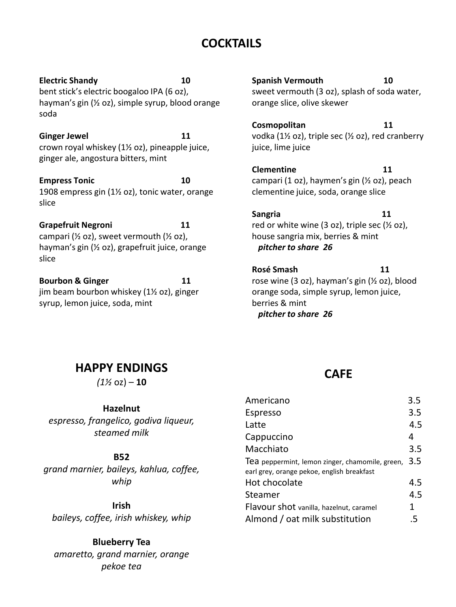## **COCKTAILS**

**Electric Shandy 10** bent stick's electric boogaloo IPA (6 oz), hayman's gin (½ oz), simple syrup, blood orange soda

**Ginger Jewel 11** crown royal whiskey (1½ oz), pineapple juice, ginger ale, angostura bitters, mint

**Empress Tonic 10** 1908 empress gin (1½ oz), tonic water, orange slice

**Grapefruit Negroni 11** campari ( $\frac{1}{2}$  oz), sweet vermouth ( $\frac{1}{2}$  oz), hayman's gin (½ oz), grapefruit juice, orange slice

**Bourbon & Ginger 11** jim beam bourbon whiskey (1½ oz), ginger syrup, lemon juice, soda, mint

**Spanish Vermouth 10** sweet vermouth (3 oz), splash of soda water, orange slice, olive skewer

**Cosmopolitan 11** vodka (1½ oz), triple sec (½ oz), red cranberry juice, lime juice

**Clementine 11** campari (1 oz), haymen's gin (½ oz), peach clementine juice, soda, orange slice

**Sangria 11** red or white wine  $(3 \text{ oz})$ , triple sec  $(½ \text{ oz})$ , house sangria mix, berries & mint *pitcher to share 26*

**Rosé Smash 11** rose wine (3 oz), hayman's gin (½ oz), blood orange soda, simple syrup, lemon juice, berries & mint *pitcher to share 26*

## **HAPPY ENDINGS**

 $(1\% \text{ oz}) - 10$ 

#### **Hazelnut**

*espresso, frangelico, godiva liqueur, steamed milk*

#### **B52**

*grand marnier, baileys, kahlua, coffee, whip*

**Irish** *baileys, coffee, irish whiskey, whip*

**Blueberry Tea** *amaretto, grand marnier, orange pekoe tea*

## **CAFE**

| Americano                                       | 3.5 |
|-------------------------------------------------|-----|
| Espresso                                        | 3.5 |
| Latte                                           | 4.5 |
| Cappuccino                                      | 4   |
| Macchiato                                       | 3.5 |
| Tea peppermint, lemon zinger, chamomile, green, | 3.5 |
| earl grey, orange pekoe, english breakfast      |     |
| Hot chocolate                                   | 4.5 |
| Steamer                                         | 4.5 |
| Flavour shot vanilla, hazelnut, caramel         | 1   |
| Almond / oat milk substitution                  | .5  |